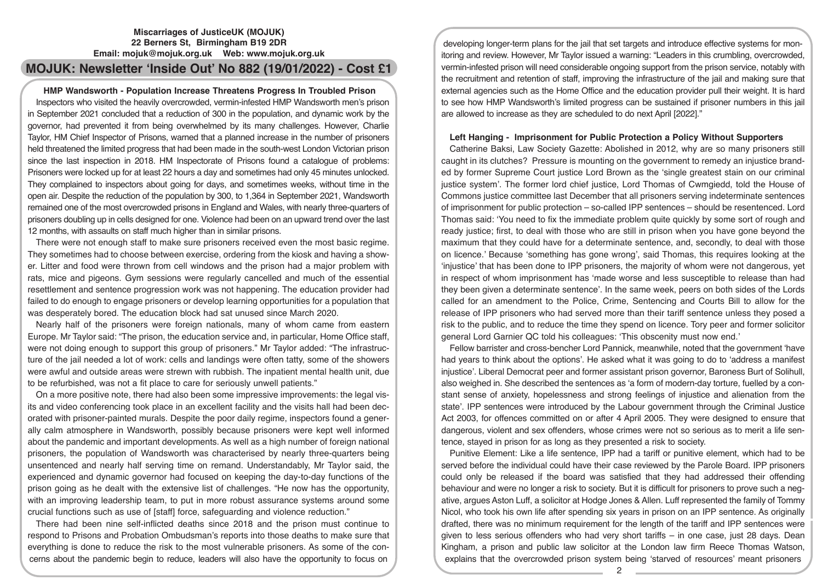## **Miscarriages of JusticeUK (MOJUK) 22 Berners St, Birmingham B19 2DR Email: mojuk@mojuk.org.uk Web: www.mojuk.org.uk**

# **MOJUK: Newsletter 'Inside Out' No 882 (19/01/2022) - Cost £1**

## **HMP Wandsworth - Population Increase Threatens Progress In Troubled Prison**

Inspectors who visited the heavily overcrowded, vermin-infested HMP Wandsworth men's prison in September 2021 concluded that a reduction of 300 in the population, and dynamic work by the governor, had prevented it from being overwhelmed by its many challenges. However, Charlie Taylor, HM Chief Inspector of Prisons, warned that a planned increase in the number of prisoners held threatened the limited progress that had been made in the south-west London Victorian prison since the last inspection in 2018. HM Inspectorate of Prisons found a catalogue of problems: Prisoners were locked up for at least 22 hours a day and sometimes had only 45 minutes unlocked. They complained to inspectors about going for days, and sometimes weeks, without time in the open air. Despite the reduction of the population by 300, to 1,364 in September 2021, Wandsworth remained one of the most overcrowded prisons in England and Wales, with nearly three-quarters of prisoners doubling up in cells designed for one. Violence had been on an upward trend over the last 12 months, with assaults on staff much higher than in similar prisons.

There were not enough staff to make sure prisoners received even the most basic regime. They sometimes had to choose between exercise, ordering from the kiosk and having a shower. Litter and food were thrown from cell windows and the prison had a major problem with rats, mice and pigeons. Gym sessions were regularly cancelled and much of the essential resettlement and sentence progression work was not happening. The education provider had failed to do enough to engage prisoners or develop learning opportunities for a population that was desperately bored. The education block had sat unused since March 2020.

Nearly half of the prisoners were foreign nationals, many of whom came from eastern Europe. Mr Taylor said: "The prison, the education service and, in particular, Home Office staff, were not doing enough to support this group of prisoners." Mr Taylor added: "The infrastructure of the jail needed a lot of work: cells and landings were often tatty, some of the showers were awful and outside areas were strewn with rubbish. The inpatient mental health unit, due to be refurbished, was not a fit place to care for seriously unwell patients."

On a more positive note, there had also been some impressive improvements: the legal visits and video conferencing took place in an excellent facility and the visits hall had been decorated with prisoner-painted murals. Despite the poor daily regime, inspectors found a generally calm atmosphere in Wandsworth, possibly because prisoners were kept well informed about the pandemic and important developments. As well as a high number of foreign national prisoners, the population of Wandsworth was characterised by nearly three-quarters being unsentenced and nearly half serving time on remand. Understandably, Mr Taylor said, the experienced and dynamic governor had focused on keeping the day-to-day functions of the prison going as he dealt with the extensive list of challenges. "He now has the opportunity, with an improving leadership team, to put in more robust assurance systems around some crucial functions such as use of [staff] force, safeguarding and violence reduction."

There had been nine self-inflicted deaths since 2018 and the prison must continue to respond to Prisons and Probation Ombudsman's reports into those deaths to make sure that everything is done to reduce the risk to the most vulnerable prisoners. As some of the concerns about the pandemic begin to reduce, leaders will also have the opportunity to focus on

developing longer-term plans for the jail that set targets and introduce effective systems for monitoring and review. However, Mr Taylor issued a warning: "Leaders in this crumbling, overcrowded, vermin-infested prison will need considerable ongoing support from the prison service, notably with the recruitment and retention of staff, improving the infrastructure of the jail and making sure that external agencies such as the Home Office and the education provider pull their weight. It is hard to see how HMP Wandsworth's limited progress can be sustained if prisoner numbers in this jail are allowed to increase as they are scheduled to do next April [2022]."

### **Left Hanging - Imprisonment for Public Protection a Policy Without Supporters**

Catherine Baksi, Law Society Gazette: Abolished in 2012, why are so many prisoners still caught in its clutches? Pressure is mounting on the government to remedy an injustice branded by former Supreme Court justice Lord Brown as the 'single greatest stain on our criminal justice system'. The former lord chief justice, Lord Thomas of Cwmgiedd, told the House of Commons justice committee last December that all prisoners serving indeterminate sentences of imprisonment for public protection – so-called IPP sentences – should be resentenced. Lord Thomas said: 'You need to fix the immediate problem quite quickly by some sort of rough and ready justice; first, to deal with those who are still in prison when you have gone beyond the maximum that they could have for a determinate sentence, and, secondly, to deal with those on licence.' Because 'something has gone wrong', said Thomas, this requires looking at the 'injustice' that has been done to IPP prisoners, the majority of whom were not dangerous, yet in respect of whom imprisonment has 'made worse and less susceptible to release than had they been given a determinate sentence'. In the same week, peers on both sides of the Lords called for an amendment to the Police, Crime, Sentencing and Courts Bill to allow for the release of IPP prisoners who had served more than their tariff sentence unless they posed a risk to the public, and to reduce the time they spend on licence. Tory peer and former solicitor general Lord Garnier QC told his colleagues: 'This obscenity must now end.'

Fellow barrister and cross-bencher Lord Pannick, meanwhile, noted that the government 'have had years to think about the options'. He asked what it was going to do to 'address a manifest injustice'. Liberal Democrat peer and former assistant prison governor, Baroness Burt of Solihull, also weighed in. She described the sentences as 'a form of modern-day torture, fuelled by a constant sense of anxiety, hopelessness and strong feelings of injustice and alienation from the state'. IPP sentences were introduced by the Labour government through the Criminal Justice Act 2003, for offences committed on or after 4 April 2005. They were designed to ensure that dangerous, violent and sex offenders, whose crimes were not so serious as to merit a life sentence, stayed in prison for as long as they presented a risk to society.

Punitive Element: Like a life sentence, IPP had a tariff or punitive element, which had to be served before the individual could have their case reviewed by the Parole Board. IPP prisoners could only be released if the board was satisfied that they had addressed their offending behaviour and were no longer a risk to society. But it is difficult for prisoners to prove such a negative, argues Aston Luff, a solicitor at Hodge Jones & Allen. Luff represented the family of Tommy Nicol, who took his own life after spending six years in prison on an IPP sentence. As originally drafted, there was no minimum requirement for the length of the tariff and IPP sentences were given to less serious offenders who had very short tariffs – in one case, just 28 days. Dean Kingham, a prison and public law solicitor at the London law firm Reece Thomas Watson, explains that the overcrowded prison system being 'starved of resources' meant prisoners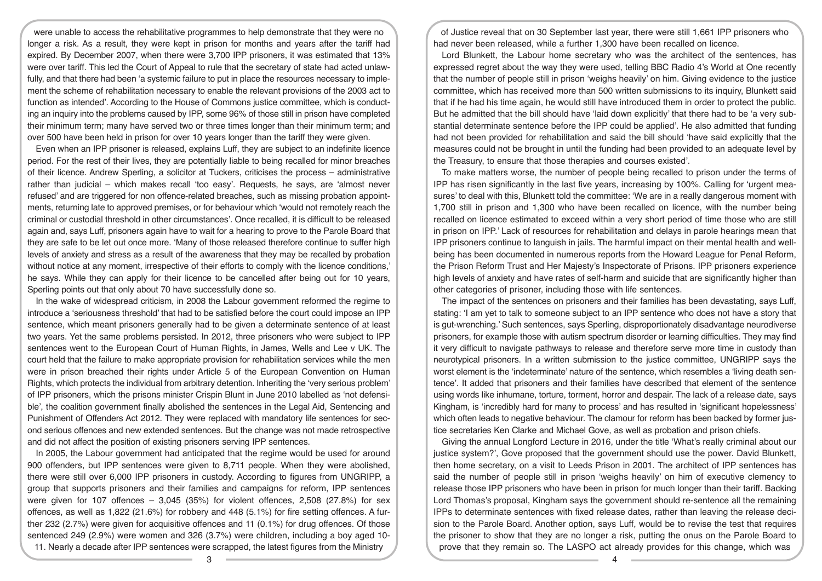were unable to access the rehabilitative programmes to help demonstrate that they were no longer a risk. As a result, they were kept in prison for months and years after the tariff had expired. By December 2007, when there were 3,700 IPP prisoners, it was estimated that 13% were over tariff. This led the Court of Appeal to rule that the secretary of state had acted unlawfully, and that there had been 'a systemic failure to put in place the resources necessary to implement the scheme of rehabilitation necessary to enable the relevant provisions of the 2003 act to function as intended'. According to the House of Commons justice committee, which is conducting an inquiry into the problems caused by IPP, some 96% of those still in prison have completed their minimum term; many have served two or three times longer than their minimum term; and over 500 have been held in prison for over 10 years longer than the tariff they were given.

Even when an IPP prisoner is released, explains Luff, they are subject to an indefinite licence period. For the rest of their lives, they are potentially liable to being recalled for minor breaches of their licence. Andrew Sperling, a solicitor at Tuckers, criticises the process – administrative rather than judicial – which makes recall 'too easy'. Requests, he says, are 'almost never refused' and are triggered for non offence-related breaches, such as missing probation appointments, returning late to approved premises, or for behaviour which 'would not remotely reach the criminal or custodial threshold in other circumstances'. Once recalled, it is difficult to be released again and, says Luff, prisoners again have to wait for a hearing to prove to the Parole Board that they are safe to be let out once more. 'Many of those released therefore continue to suffer high levels of anxiety and stress as a result of the awareness that they may be recalled by probation without notice at any moment, irrespective of their efforts to comply with the licence conditions,' he says. While they can apply for their licence to be cancelled after being out for 10 years, Sperling points out that only about 70 have successfully done so.

In the wake of widespread criticism, in 2008 the Labour government reformed the regime to introduce a 'seriousness threshold' that had to be satisfied before the court could impose an IPP sentence, which meant prisoners generally had to be given a determinate sentence of at least two years. Yet the same problems persisted. In 2012, three prisoners who were subject to IPP sentences went to the European Court of Human Rights, in James, Wells and Lee v UK. The court held that the failure to make appropriate provision for rehabilitation services while the men were in prison breached their rights under Article 5 of the European Convention on Human Rights, which protects the individual from arbitrary detention. Inheriting the 'very serious problem' of IPP prisoners, which the prisons minister Crispin Blunt in June 2010 labelled as 'not defensible', the coalition government finally abolished the sentences in the Legal Aid, Sentencing and Punishment of Offenders Act 2012. They were replaced with mandatory life sentences for second serious offences and new extended sentences. But the change was not made retrospective and did not affect the position of existing prisoners serving IPP sentences.

In 2005, the Labour government had anticipated that the regime would be used for around 900 offenders, but IPP sentences were given to 8,711 people. When they were abolished, there were still over 6,000 IPP prisoners in custody. According to figures from UNGRIPP, a group that supports prisoners and their families and campaigns for reform, IPP sentences were given for 107 offences  $-3.045$  (35%) for violent offences, 2,508 (27.8%) for sex offences, as well as 1,822 (21.6%) for robbery and 448 (5.1%) for fire setting offences. A further 232 (2.7%) were given for acquisitive offences and 11 (0.1%) for drug offences. Of those sentenced 249 (2.9%) were women and 326 (3.7%) were children, including a boy aged 10- 11. Nearly a decade after IPP sentences were scrapped, the latest figures from the Ministry

of Justice reveal that on 30 September last year, there were still 1,661 IPP prisoners who had never been released, while a further 1,300 have been recalled on licence.

Lord Blunkett, the Labour home secretary who was the architect of the sentences, has expressed regret about the way they were used, telling BBC Radio 4's World at One recently that the number of people still in prison 'weighs heavily' on him. Giving evidence to the justice committee, which has received more than 500 written submissions to its inquiry, Blunkett said that if he had his time again, he would still have introduced them in order to protect the public. But he admitted that the bill should have 'laid down explicitly' that there had to be 'a very substantial determinate sentence before the IPP could be applied'. He also admitted that funding had not been provided for rehabilitation and said the bill should 'have said explicitly that the measures could not be brought in until the funding had been provided to an adequate level by the Treasury, to ensure that those therapies and courses existed'.

To make matters worse, the number of people being recalled to prison under the terms of IPP has risen significantly in the last five years, increasing by 100%. Calling for 'urgent measures' to deal with this, Blunkett told the committee: 'We are in a really dangerous moment with 1,700 still in prison and 1,300 who have been recalled on licence, with the number being recalled on licence estimated to exceed within a very short period of time those who are still in prison on IPP.' Lack of resources for rehabilitation and delays in parole hearings mean that IPP prisoners continue to languish in jails. The harmful impact on their mental health and wellbeing has been documented in numerous reports from the Howard League for Penal Reform, the Prison Reform Trust and Her Majesty's Inspectorate of Prisons. IPP prisoners experience high levels of anxiety and have rates of self-harm and suicide that are significantly higher than other categories of prisoner, including those with life sentences.

The impact of the sentences on prisoners and their families has been devastating, says Luff, stating: 'I am yet to talk to someone subject to an IPP sentence who does not have a story that is gut-wrenching.' Such sentences, says Sperling, disproportionately disadvantage neurodiverse prisoners, for example those with autism spectrum disorder or learning difficulties. They may find it very difficult to navigate pathways to release and therefore serve more time in custody than neurotypical prisoners. In a written submission to the justice committee, UNGRIPP says the worst element is the 'indeterminate' nature of the sentence, which resembles a 'living death sentence'. It added that prisoners and their families have described that element of the sentence using words like inhumane, torture, torment, horror and despair. The lack of a release date, says Kingham, is 'incredibly hard for many to process' and has resulted in 'significant hopelessness' which often leads to negative behaviour. The clamour for reform has been backed by former justice secretaries Ken Clarke and Michael Gove, as well as probation and prison chiefs.

Giving the annual Longford Lecture in 2016, under the title 'What's really criminal about our justice system?', Gove proposed that the government should use the power. David Blunkett, then home secretary, on a visit to Leeds Prison in 2001. The architect of IPP sentences has said the number of people still in prison 'weighs heavily' on him of executive clemency to release those IPP prisoners who have been in prison for much longer than their tariff. Backing Lord Thomas's proposal, Kingham says the government should re-sentence all the remaining IPPs to determinate sentences with fixed release dates, rather than leaving the release decision to the Parole Board. Another option, says Luff, would be to revise the test that requires the prisoner to show that they are no longer a risk, putting the onus on the Parole Board to prove that they remain so. The LASPO act already provides for this change, which was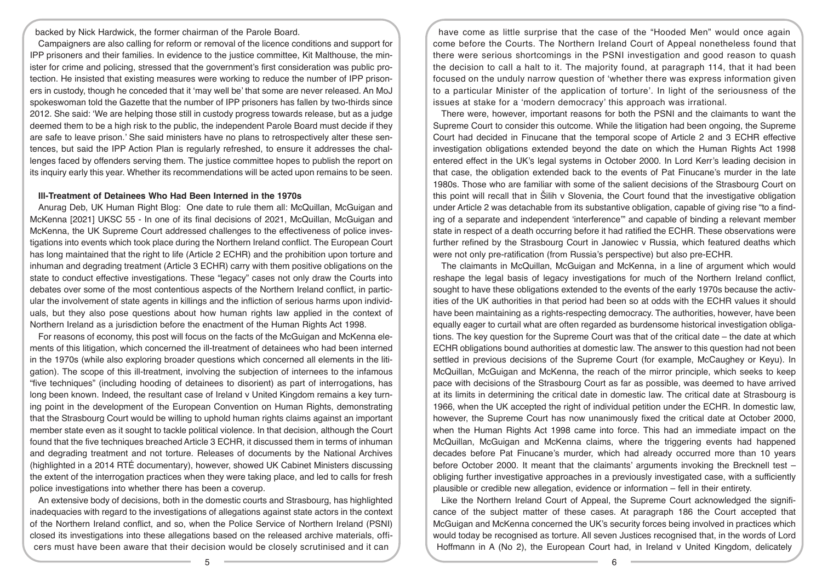backed by Nick Hardwick, the former chairman of the Parole Board.

Campaigners are also calling for reform or removal of the licence conditions and support for IPP prisoners and their families. In evidence to the justice committee, Kit Malthouse, the minister for crime and policing, stressed that the government's first consideration was public protection. He insisted that existing measures were working to reduce the number of IPP prisoners in custody, though he conceded that it 'may well be' that some are never released. An MoJ spokeswoman told the Gazette that the number of IPP prisoners has fallen by two-thirds since 2012. She said: 'We are helping those still in custody progress towards release, but as a judge deemed them to be a high risk to the public, the independent Parole Board must decide if they are safe to leave prison.' She said ministers have no plans to retrospectively alter these sentences, but said the IPP Action Plan is regularly refreshed, to ensure it addresses the challenges faced by offenders serving them. The justice committee hopes to publish the report on its inquiry early this year. Whether its recommendations will be acted upon remains to be seen.

#### **Ill-Treatment of Detainees Who Had Been Interned in the 1970s**

Anurag Deb, UK Human Right Blog: One date to rule them all: McQuillan, McGuigan and McKenna [2021] UKSC 55 - In one of its final decisions of 2021, McQuillan, McGuigan and McKenna, the UK Supreme Court addressed challenges to the effectiveness of police investigations into events which took place during the Northern Ireland conflict. The European Court has long maintained that the right to life (Article 2 ECHR) and the prohibition upon torture and inhuman and degrading treatment (Article 3 ECHR) carry with them positive obligations on the state to conduct effective investigations. These "legacy" cases not only draw the Courts into debates over some of the most contentious aspects of the Northern Ireland conflict, in particular the involvement of state agents in killings and the infliction of serious harms upon individuals, but they also pose questions about how human rights law applied in the context of Northern Ireland as a jurisdiction before the enactment of the Human Rights Act 1998.

For reasons of economy, this post will focus on the facts of the McGuigan and McKenna elements of this litigation, which concerned the ill-treatment of detainees who had been interned in the 1970s (while also exploring broader questions which concerned all elements in the litigation). The scope of this ill-treatment, involving the subjection of internees to the infamous "five techniques" (including hooding of detainees to disorient) as part of interrogations, has long been known. Indeed, the resultant case of Ireland v United Kingdom remains a key turning point in the development of the European Convention on Human Rights, demonstrating that the Strasbourg Court would be willing to uphold human rights claims against an important member state even as it sought to tackle political violence. In that decision, although the Court found that the five techniques breached Article 3 ECHR, it discussed them in terms of inhuman and degrading treatment and not torture. Releases of documents by the National Archives (highlighted in a 2014 RTÉ documentary), however, showed UK Cabinet Ministers discussing the extent of the interrogation practices when they were taking place, and led to calls for fresh police investigations into whether there has been a coverup.

An extensive body of decisions, both in the domestic courts and Strasbourg, has highlighted inadequacies with regard to the investigations of allegations against state actors in the context of the Northern Ireland conflict, and so, when the Police Service of Northern Ireland (PSNI) closed its investigations into these allegations based on the released archive materials, officers must have been aware that their decision would be closely scrutinised and it can

have come as little surprise that the case of the "Hooded Men" would once again come before the Courts. The Northern Ireland Court of Appeal nonetheless found that there were serious shortcomings in the PSNI investigation and good reason to quash the decision to call a halt to it. The majority found, at paragraph 114, that it had been focused on the unduly narrow question of 'whether there was express information given to a particular Minister of the application of torture'. In light of the seriousness of the issues at stake for a 'modern democracy' this approach was irrational.

There were, however, important reasons for both the PSNI and the claimants to want the Supreme Court to consider this outcome. While the litigation had been ongoing, the Supreme Court had decided in Finucane that the temporal scope of Article 2 and 3 ECHR effective investigation obligations extended beyond the date on which the Human Rights Act 1998 entered effect in the UK's legal systems in October 2000. In Lord Kerr's leading decision in that case, the obligation extended back to the events of Pat Finucane's murder in the late 1980s. Those who are familiar with some of the salient decisions of the Strasbourg Court on this point will recall that in Šilih v Slovenia, the Court found that the investigative obligation under Article 2 was detachable from its substantive obligation, capable of giving rise "to a finding of a separate and independent 'interference'" and capable of binding a relevant member state in respect of a death occurring before it had ratified the ECHR. These observations were further refined by the Strasbourg Court in Janowiec v Russia, which featured deaths which were not only pre-ratification (from Russia's perspective) but also pre-ECHR.

The claimants in McQuillan, McGuigan and McKenna, in a line of argument which would reshape the legal basis of legacy investigations for much of the Northern Ireland conflict, sought to have these obligations extended to the events of the early 1970s because the activities of the UK authorities in that period had been so at odds with the ECHR values it should have been maintaining as a rights-respecting democracy. The authorities, however, have been equally eager to curtail what are often regarded as burdensome historical investigation obligations. The key question for the Supreme Court was that of the critical date – the date at which ECHR obligations bound authorities at domestic law. The answer to this question had not been settled in previous decisions of the Supreme Court (for example, McCaughey or Keyu). In McQuillan, McGuigan and McKenna, the reach of the mirror principle, which seeks to keep pace with decisions of the Strasbourg Court as far as possible, was deemed to have arrived at its limits in determining the critical date in domestic law. The critical date at Strasbourg is 1966, when the UK accepted the right of individual petition under the ECHR. In domestic law, however, the Supreme Court has now unanimously fixed the critical date at October 2000, when the Human Rights Act 1998 came into force. This had an immediate impact on the McQuillan, McGuigan and McKenna claims, where the triggering events had happened decades before Pat Finucane's murder, which had already occurred more than 10 years before October 2000. It meant that the claimants' arguments invoking the Brecknell test – obliging further investigative approaches in a previously investigated case, with a sufficiently plausible or credible new allegation, evidence or information – fell in their entirety.

Like the Northern Ireland Court of Appeal, the Supreme Court acknowledged the significance of the subject matter of these cases. At paragraph 186 the Court accepted that McGuigan and McKenna concerned the UK's security forces being involved in practices which would today be recognised as torture. All seven Justices recognised that, in the words of Lord Hoffmann in A (No 2), the European Court had, in Ireland v United Kingdom, delicately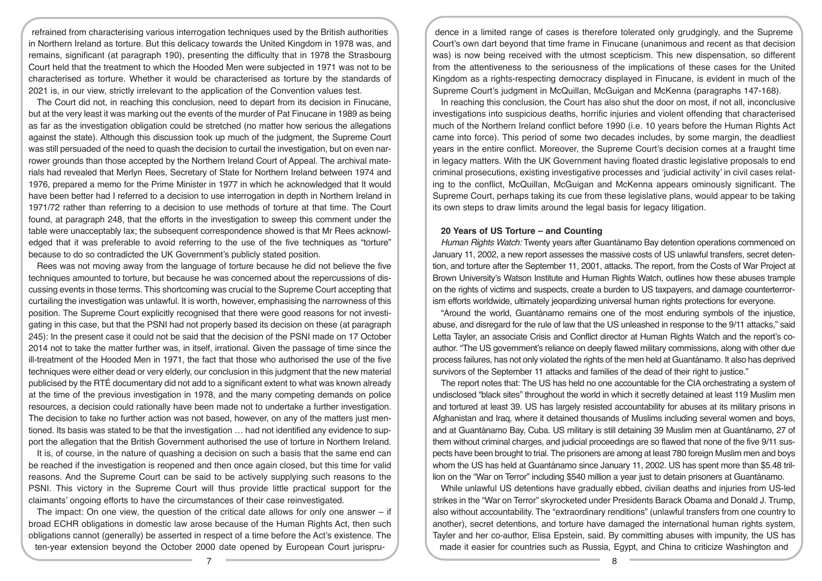refrained from characterising various interrogation techniques used by the British authorities in Northern Ireland as torture. But this delicacy towards the United Kingdom in 1978 was, and remains, significant (at paragraph 190), presenting the difficulty that in 1978 the Strasbourg Court held that the treatment to which the Hooded Men were subjected in 1971 was not to be characterised as torture. Whether it would be characterised as torture by the standards of 2021 is, in our view, strictly irrelevant to the application of the Convention values test.

The Court did not, in reaching this conclusion, need to depart from its decision in Finucane, but at the very least it was marking out the events of the murder of Pat Finucane in 1989 as being as far as the investigation obligation could be stretched (no matter how serious the allegations against the state). Although this discussion took up much of the judgment, the Supreme Court was still persuaded of the need to quash the decision to curtail the investigation, but on even narrower grounds than those accepted by the Northern Ireland Court of Appeal. The archival materials had revealed that Merlyn Rees, Secretary of State for Northern Ireland between 1974 and 1976, prepared a memo for the Prime Minister in 1977 in which he acknowledged that It would have been better had I referred to a decision to use interrogation in depth in Northern Ireland in 1971/72 rather than referring to a decision to use methods of torture at that time. The Court found, at paragraph 248, that the efforts in the investigation to sweep this comment under the table were unacceptably lax; the subsequent correspondence showed is that Mr Rees acknowledged that it was preferable to avoid referring to the use of the five techniques as "torture" because to do so contradicted the UK Government's publicly stated position.

Rees was not moving away from the language of torture because he did not believe the five techniques amounted to torture, but because he was concerned about the repercussions of discussing events in those terms. This shortcoming was crucial to the Supreme Court accepting that curtailing the investigation was unlawful. It is worth, however, emphasising the narrowness of this position. The Supreme Court explicitly recognised that there were good reasons for not investigating in this case, but that the PSNI had not properly based its decision on these (at paragraph 245): In the present case it could not be said that the decision of the PSNI made on 17 October 2014 not to take the matter further was, in itself, irrational. Given the passage of time since the ill-treatment of the Hooded Men in 1971, the fact that those who authorised the use of the five techniques were either dead or very elderly, our conclusion in this judgment that the new material publicised by the RTÉ documentary did not add to a significant extent to what was known already at the time of the previous investigation in 1978, and the many competing demands on police resources, a decision could rationally have been made not to undertake a further investigation. The decision to take no further action was not based, however, on any of the matters just mentioned. Its basis was stated to be that the investigation … had not identified any evidence to support the allegation that the British Government authorised the use of torture in Northern Ireland.

It is, of course, in the nature of quashing a decision on such a basis that the same end can be reached if the investigation is reopened and then once again closed, but this time for valid reasons. And the Supreme Court can be said to be actively supplying such reasons to the PSNI. This victory in the Supreme Court will thus provide little practical support for the claimants' ongoing efforts to have the circumstances of their case reinvestigated.

The impact: On one view, the question of the critical date allows for only one answer – if broad ECHR obligations in domestic law arose because of the Human Rights Act, then such obligations cannot (generally) be asserted in respect of a time before the Act's existence. The ten-year extension beyond the October 2000 date opened by European Court jurispru-

dence in a limited range of cases is therefore tolerated only grudgingly, and the Supreme Court's own dart beyond that time frame in Finucane (unanimous and recent as that decision was) is now being received with the utmost scepticism. This new dispensation, so different from the attentiveness to the seriousness of the implications of these cases for the United Kingdom as a rights-respecting democracy displayed in Finucane, is evident in much of the Supreme Court's judgment in McQuillan, McGuigan and McKenna (paragraphs 147-168).

In reaching this conclusion, the Court has also shut the door on most, if not all, inconclusive investigations into suspicious deaths, horrific injuries and violent offending that characterised much of the Northern Ireland conflict before 1990 (i.e. 10 years before the Human Rights Act came into force). This period of some two decades includes, by some margin, the deadliest years in the entire conflict. Moreover, the Supreme Court's decision comes at a fraught time in legacy matters. With the UK Government having floated drastic legislative proposals to end criminal prosecutions, existing investigative processes and 'judicial activity' in civil cases relating to the conflict, McQuillan, McGuigan and McKenna appears ominously significant. The Supreme Court, perhaps taking its cue from these legislative plans, would appear to be taking its own steps to draw limits around the legal basis for legacy litigation.

## **20 Years of US Torture – and Counting**

*Human Rights Watch:* Twenty years after Guantánamo Bay detention operations commenced on January 11, 2002, a new report assesses the massive costs of US unlawful transfers, secret detention, and torture after the September 11, 2001, attacks. The report, from the Costs of War Project at Brown University's Watson Institute and Human Rights Watch, outlines how these abuses trample on the rights of victims and suspects, create a burden to US taxpayers, and damage counterterrorism efforts worldwide, ultimately jeopardizing universal human rights protections for everyone.

"Around the world, Guantánamo remains one of the most enduring symbols of the injustice, abuse, and disregard for the rule of law that the US unleashed in response to the 9/11 attacks," said Letta Tayler, an associate Crisis and Conflict director at Human Rights Watch and the report's coauthor. "The US government's reliance on deeply flawed military commissions, along with other due process failures, has not only violated the rights of the men held at Guantánamo. It also has deprived survivors of the September 11 attacks and families of the dead of their right to justice."

The report notes that: The US has held no one accountable for the CIA orchestrating a system of undisclosed "black sites" throughout the world in which it secretly detained at least 119 Muslim men and tortured at least 39. US has largely resisted accountability for abuses at its military prisons in Afghanistan and Iraq, where it detained thousands of Muslims including several women and boys, and at Guantánamo Bay, Cuba. US military is still detaining 39 Muslim men at Guantánamo, 27 of them without criminal charges, and judicial proceedings are so flawed that none of the five 9/11 suspects have been brought to trial. The prisoners are among at least 780 foreign Muslim men and boys whom the US has held at Guantánamo since January 11, 2002. US has spent more than \$5.48 trillion on the "War on Terror" including \$540 million a year just to detain prisoners at Guantánamo.

While unlawful US detentions have gradually ebbed, civilian deaths and injuries from US-led strikes in the "War on Terror" skyrocketed under Presidents Barack Obama and Donald J. Trump, also without accountability. The "extraordinary renditions" (unlawful transfers from one country to another), secret detentions, and torture have damaged the international human rights system, Tayler and her co-author, Elisa Epstein, said. By committing abuses with impunity, the US has made it easier for countries such as Russia, Egypt, and China to criticize Washington and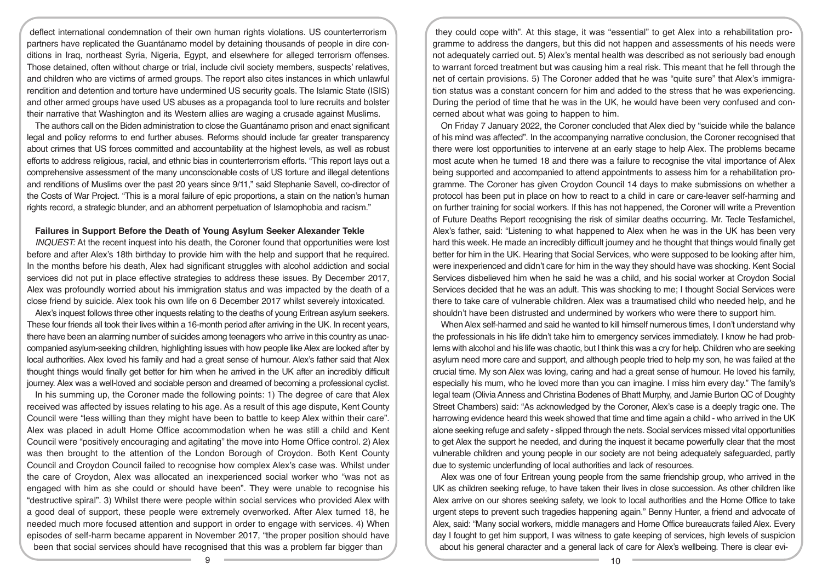deflect international condemnation of their own human rights violations. US counterterrorism partners have replicated the Guantánamo model by detaining thousands of people in dire conditions in Iraq, northeast Syria, Nigeria, Egypt, and elsewhere for alleged terrorism offenses. Those detained, often without charge or trial, include civil society members, suspects' relatives, and children who are victims of armed groups. The report also cites instances in which unlawful rendition and detention and torture have undermined US security goals. The Islamic State (ISIS) and other armed groups have used US abuses as a propaganda tool to lure recruits and bolster their narrative that Washington and its Western allies are waging a crusade against Muslims.

The authors call on the Biden administration to close the Guantánamo prison and enact significant legal and policy reforms to end further abuses. Reforms should include far greater transparency about crimes that US forces committed and accountability at the highest levels, as well as robust efforts to address religious, racial, and ethnic bias in counterterrorism efforts. "This report lays out a comprehensive assessment of the many unconscionable costs of US torture and illegal detentions and renditions of Muslims over the past 20 years since 9/11," said Stephanie Savell, co-director of the Costs of War Project. "This is a moral failure of epic proportions, a stain on the nation's human rights record, a strategic blunder, and an abhorrent perpetuation of Islamophobia and racism."

### **Failures in Support Before the Death of Young Asylum Seeker Alexander Tekle**

*INQUEST:* At the recent inquest into his death, the Coroner found that opportunities were lost before and after Alex's 18th birthday to provide him with the help and support that he required. In the months before his death, Alex had significant struggles with alcohol addiction and social services did not put in place effective strategies to address these issues. By December 2017, Alex was profoundly worried about his immigration status and was impacted by the death of a close friend by suicide. Alex took his own life on 6 December 2017 whilst severely intoxicated.

Alex's inquest follows three other inquests relating to the deaths of young Eritrean asylum seekers. These four friends all took their lives within a 16-month period after arriving in the UK. In recent years, there have been an alarming number of suicides among teenagers who arrive in this country as unaccompanied asylum-seeking children, highlighting issues with how people like Alex are looked after by local authorities. Alex loved his family and had a great sense of humour. Alex's father said that Alex thought things would finally get better for him when he arrived in the UK after an incredibly difficult journey. Alex was a well-loved and sociable person and dreamed of becoming a professional cyclist.

In his summing up, the Coroner made the following points: 1) The degree of care that Alex received was affected by issues relating to his age. As a result of this age dispute, Kent County Council were "less willing than they might have been to battle to keep Alex within their care". Alex was placed in adult Home Office accommodation when he was still a child and Kent Council were "positively encouraging and agitating" the move into Home Office control. 2) Alex was then brought to the attention of the London Borough of Croydon. Both Kent County Council and Croydon Council failed to recognise how complex Alex's case was. Whilst under the care of Croydon, Alex was allocated an inexperienced social worker who "was not as engaged with him as she could or should have been". They were unable to recognise his "destructive spiral". 3) Whilst there were people within social services who provided Alex with a good deal of support, these people were extremely overworked. After Alex turned 18, he needed much more focused attention and support in order to engage with services. 4) When episodes of self-harm became apparent in November 2017, "the proper position should have been that social services should have recognised that this was a problem far bigger than

they could cope with". At this stage, it was "essential" to get Alex into a rehabilitation programme to address the dangers, but this did not happen and assessments of his needs were not adequately carried out. 5) Alex's mental health was described as not seriously bad enough to warrant forced treatment but was causing him a real risk. This meant that he fell through the net of certain provisions. 5) The Coroner added that he was "quite sure" that Alex's immigration status was a constant concern for him and added to the stress that he was experiencing. During the period of time that he was in the UK, he would have been very confused and concerned about what was going to happen to him.

On Friday 7 January 2022, the Coroner concluded that Alex died by "suicide while the balance of his mind was affected". In the accompanying narrative conclusion, the Coroner recognised that there were lost opportunities to intervene at an early stage to help Alex. The problems became most acute when he turned 18 and there was a failure to recognise the vital importance of Alex being supported and accompanied to attend appointments to assess him for a rehabilitation programme. The Coroner has given Croydon Council 14 days to make submissions on whether a protocol has been put in place on how to react to a child in care or care-leaver self-harming and on further training for social workers. If this has not happened, the Coroner will write a Prevention of Future Deaths Report recognising the risk of similar deaths occurring. Mr. Tecle Tesfamichel, Alex's father, said: "Listening to what happened to Alex when he was in the UK has been very hard this week. He made an incredibly difficult journey and he thought that things would finally get better for him in the UK. Hearing that Social Services, who were supposed to be looking after him, were inexperienced and didn't care for him in the way they should have was shocking. Kent Social Services disbelieved him when he said he was a child, and his social worker at Croydon Social Services decided that he was an adult. This was shocking to me; I thought Social Services were there to take care of vulnerable children. Alex was a traumatised child who needed help, and he shouldn't have been distrusted and undermined by workers who were there to support him.

When Alex self-harmed and said he wanted to kill himself numerous times, I don't understand why the professionals in his life didn't take him to emergency services immediately. I know he had problems with alcohol and his life was chaotic, but I think this was a cry for help. Children who are seeking asylum need more care and support, and although people tried to help my son, he was failed at the crucial time. My son Alex was loving, caring and had a great sense of humour. He loved his family, especially his mum, who he loved more than you can imagine. I miss him every day." The family's legal team (Olivia Anness and Christina Bodenes of Bhatt Murphy, and Jamie Burton QC of Doughty Street Chambers) said: "As acknowledged by the Coroner, Alex's case is a deeply tragic one. The harrowing evidence heard this week showed that time and time again a child - who arrived in the UK alone seeking refuge and safety - slipped through the nets. Social services missed vital opportunities to get Alex the support he needed, and during the inquest it became powerfully clear that the most vulnerable children and young people in our society are not being adequately safeguarded, partly due to systemic underfunding of local authorities and lack of resources.

Alex was one of four Eritrean young people from the same friendship group, who arrived in the UK as children seeking refuge, to have taken their lives in close succession. As other children like Alex arrive on our shores seeking safety, we look to local authorities and the Home Office to take urgent steps to prevent such tragedies happening again." Benny Hunter, a friend and advocate of Alex, said: "Many social workers, middle managers and Home Office bureaucrats failed Alex. Every day I fought to get him support, I was witness to gate keeping of services, high levels of suspicion about his general character and a general lack of care for Alex's wellbeing. There is clear evi-